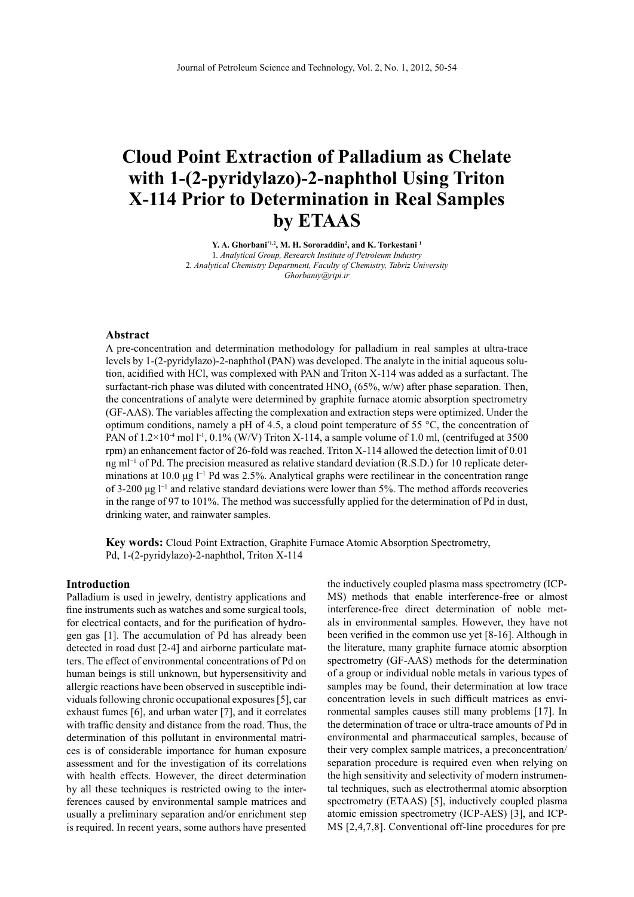# **Cloud Point Extraction of Palladium as Chelate with 1-(2-pyridylazo)-2-naphthol Using Triton X-114 Prior to Determination in Real Samples by ETAAS**

**Y. A. Ghorbani\*1,2, M. H. Sororaddin<sup>2</sup> , and K. Torkestani <sup>1</sup>** 1*. Analytical Group, Research Institute of Petroleum Industry* 2*. Analytical Chemistry Department, Faculty of Chemistry, Tabriz University [Ghorbaniy@ripi.ir](mailto:Ghorbaniy@ripi.ir)*

#### **Abstract**

A pre-concentration and determination methodology for palladium in real samples at ultra-trace levels by 1-(2-pyridylazo)-2-naphthol (PAN) was developed. The analyte in the initial aqueous solution, acidified with HCl, was complexed with PAN and Triton X114 was added as a surfactant. The surfactant-rich phase was diluted with concentrated  $HNO<sub>3</sub>$  (65%, w/w) after phase separation. Then, the concentrations of analyte were determined by graphite furnace atomic absorption spectrometry (GF-AAS). The variables affecting the complexation and extraction steps were optimized. Under the optimum conditions, namely a pH of 4.5, a cloud point temperature of 55  $\degree$ C, the concentration of PAN of  $1.2\times10^{-4}$  mol l<sup>-1</sup>, 0.1% (W/V) Triton X-114, a sample volume of 1.0 ml, (centrifuged at 3500 rpm) an enhancement factor of 26-fold was reached. Triton X-114 allowed the detection limit of 0.01 ng m<sup>-1</sup> of Pd. The precision measured as relative standard deviation (R.S.D.) for 10 replicate determinations at 10.0 μg l−1 Pd was 2.5%. Analytical graphs were rectilinear in the concentration range of 3200 μg l−1 and relative standard deviations were lower than 5%. The method affords recoveries in the range of 97 to 101%. The method was successfully applied for the determination of Pd in dust, drinking water, and rainwater samples.

**Key words:** Cloud Point Extraction, Graphite Furnace Atomic Absorption Spectrometry, Pd, 1-(2-pyridylazo)-2-naphthol, Triton X-114

#### **Introduction**

Palladium is used in jewelry, dentistry applications and fine instruments such as watches and some surgical tools, for electrical contacts, and for the purification of hydrogen gas [1]. The accumulation of Pd has already been detected in road dust [2-4] and airborne particulate matters. The effect of environmental concentrations of Pd on human beings is still unknown, but hypersensitivity and allergic reactions have been observed in susceptible individuals following chronic occupational exposures [5], car exhaust fumes [6], and urban water [7], and it correlates with traffic density and distance from the road. Thus, the determination of this pollutant in environmental matrices is of considerable importance for human exposure assessment and for the investigation of its correlations with health effects. However, the direct determination by all these techniques is restricted owing to the interferences caused by environmental sample matrices and usually a preliminary separation and/or enrichment step is required. In recent years, some authors have presented

the inductively coupled plasma mass spectrometry (ICP-MS) methods that enable interference-free or almost interference-free direct determination of noble metals in environmental samples. However, they have not been verified in the common use yet [8-16]. Although in the literature, many graphite furnace atomic absorption spectrometry (GF-AAS) methods for the determination of a group or individual noble metals in various types of samples may be found, their determination at low trace concentration levels in such difficult matrices as environmental samples causes still many problems [17]. In the determination of trace or ultra-trace amounts of Pd in environmental and pharmaceutical samples, because of their very complex sample matrices, a preconcentration/ separation procedure is required even when relying on the high sensitivity and selectivity of modern instrumental techniques, such as electrothermal atomic absorption spectrometry (ETAAS) [5], inductively coupled plasma atomic emission spectrometry (ICP-AES) [3], and ICP-MS [2,4,7,8]. Conventional off-line procedures for pre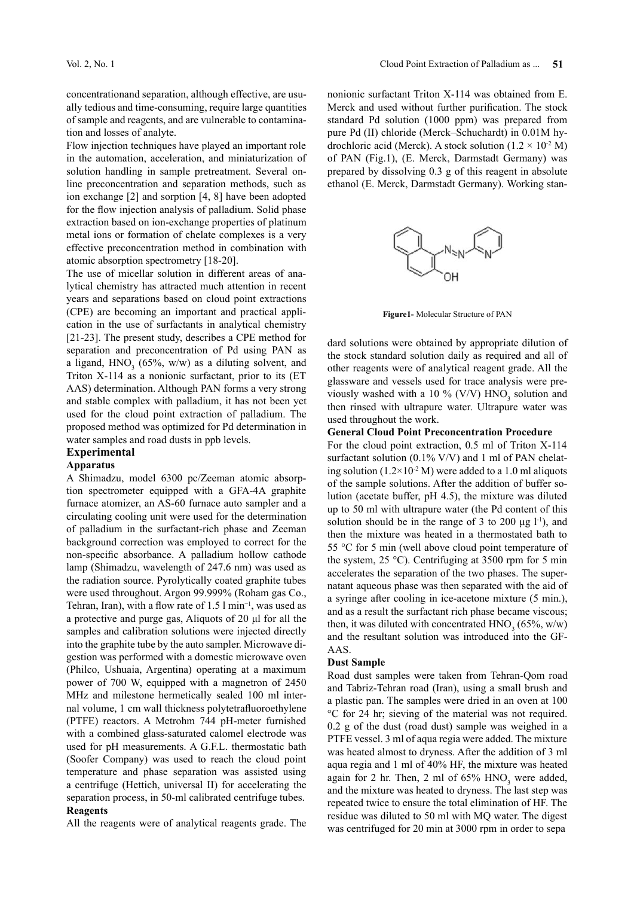concentrationand separation, although effective, are usually tedious and time-consuming, require large quantities of sample and reagents, and are vulnerable to contamination and losses of analyte.

Flow injection techniques have played an important role in the automation, acceleration, and miniaturization of solution handling in sample pretreatment. Several online preconcentration and separation methods, such as ion exchange [2] and sorption [4, 8] have been adopted for the flow injection analysis of palladium. Solid phase extraction based on ion-exchange properties of platinum metal ions or formation of chelate complexes is a very effective preconcentration method in combination with atomic absorption spectrometry [18-20].

The use of micellar solution in different areas of analytical chemistry has attracted much attention in recent years and separations based on cloud point extractions (CPE) are becoming an important and practical application in the use of surfactants in analytical chemistry [21-23]. The present study, describes a CPE method for separation and preconcentration of Pd using PAN as a ligand,  $HNO<sub>3</sub>$  (65%, w/w) as a diluting solvent, and Triton X-114 as a nonionic surfactant, prior to its (ET AAS) determination. Although PAN forms a very strong and stable complex with palladium, it has not been yet used for the cloud point extraction of palladium. The proposed method was optimized for Pd determination in water samples and road dusts in ppb levels.

#### **Experimental**

#### **Apparatus**

A Shimadzu, model 6300 pc/Zeeman atomic absorption spectrometer equipped with a GFA-4A graphite furnace atomizer, an AS-60 furnace auto sampler and a circulating cooling unit were used for the determination of palladium in the surfactant-rich phase and Zeeman background correction was employed to correct for the nonspecific absorbance. A palladium hollow cathode lamp (Shimadzu, wavelength of 247.6 nm) was used as the radiation source. Pyrolytically coated graphite tubes were used throughout. Argon 99.999% (Roham gas Co., Tehran, Iran), with a flow rate of 1.5 l min<sup>-1</sup>, was used as a protective and purge gas, Aliquots of 20 μl for all the samples and calibration solutions were injected directly into the graphite tube by the auto sampler. Microwave digestion was performed with a domestic microwave oven (Philco, Ushuaia, Argentina) operating at a maximum power of 700 W, equipped with a magnetron of 2450 MHz and milestone hermetically sealed 100 ml internal volume, 1 cm wall thickness polytetrafluoroethylene (PTFE) reactors. A Metrohm 744 pH-meter furnished with a combined glass-saturated calomel electrode was used for pH measurements. A G.F.L. thermostatic bath (Soofer Company) was used to reach the cloud point temperature and phase separation was assisted using a centrifuge (Hettich, universal II) for accelerating the separation process, in 50-ml calibrated centrifuge tubes.

#### **Reagents**

All the reagents were of analytical reagents grade. The

nonionic surfactant Triton X-114 was obtained from E. Merck and used without further purification. The stock standard Pd solution (1000 ppm) was prepared from pure Pd (II) chloride (Merck–Schuchardt) in 0.01M hydrochloric acid (Merck). A stock solution ( $1.2 \times 10^{2}$  M) of PAN (Fig.1), (E. Merck, Darmstadt Germany) was prepared by dissolving 0.3 g of this reagent in absolute ethanol (E. Merck, Darmstadt Germany). Working stan-



**Figure1-** Molecular Structure of PAN

dard solutions were obtained by appropriate dilution of the stock standard solution daily as required and all of other reagents were of analytical reagent grade. All the glassware and vessels used for trace analysis were previously washed with a 10 % (V/V)  $HNO<sub>3</sub>$  solution and then rinsed with ultrapure water. Ultrapure water was used throughout the work.

#### **General Cloud Point Preconcentration Procedure**

For the cloud point extraction, 0.5 ml of Triton X-114 surfactant solution (0.1% V/V) and 1 ml of PAN chelating solution  $(1.2 \times 10^{-2} \text{ M})$  were added to a 1.0 ml aliquots of the sample solutions. After the addition of buffer solution (acetate buffer, pH 4.5), the mixture was diluted up to 50 ml with ultrapure water (the Pd content of this solution should be in the range of 3 to 200  $\mu$ g l<sup>-1</sup>), and then the mixture was heated in a thermostated bath to 55 °C for 5 min (well above cloud point temperature of the system, 25 °C). Centrifuging at 3500 rpm for 5 min accelerates the separation of the two phases. The supernatant aqueous phase was then separated with the aid of a syringe after cooling in ice-acetone mixture (5 min.), and as a result the surfactant rich phase became viscous; then, it was diluted with concentrated  $HNO<sub>3</sub>$  (65%, w/w) and the resultant solution was introduced into the GF-AAS.

#### **Dust Sample**

Road dust samples were taken from Tehran-Qom road and Tabriz-Tehran road (Iran), using a small brush and a plastic pan. The samples were dried in an oven at 100 °C for 24 hr; sieving of the material was not required. 0.2 g of the dust (road dust) sample was weighed in a PTFE vessel. 3 ml of aqua regia were added. The mixture was heated almost to dryness. After the addition of 3 ml aqua regia and 1 ml of 40% HF, the mixture was heated again for 2 hr. Then, 2 ml of  $65\%$  HNO<sub>3</sub> were added, and the mixture was heated to dryness. The last step was repeated twice to ensure the total elimination of HF. The residue was diluted to 50 ml with MQ water. The digest was centrifuged for 20 min at 3000 rpm in order to sepa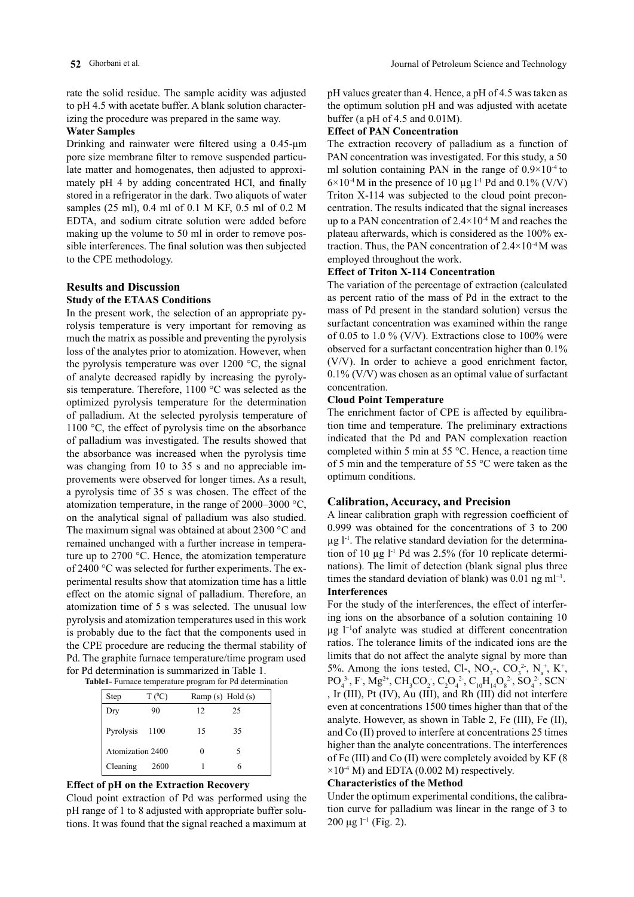rate the solid residue. The sample acidity was adjusted to pH 4.5 with acetate buffer. A blank solution characterizing the procedure was prepared in the same way.

#### **Water Samples**

Drinking and rainwater were filtered using a 0.45-μm pore size membrane filter to remove suspended particulate matter and homogenates, then adjusted to approximately pH 4 by adding concentrated HCl, and finally stored in a refrigerator in the dark. Two aliquots of water samples (25 ml), 0.4 ml of 0.1 M KF, 0.5 ml of 0.2 M EDTA, and sodium citrate solution were added before making up the volume to 50 ml in order to remove possible interferences. The final solution was then subjected to the CPE methodology.

# **Results and Discussion**

# **Study of the ETAAS Conditions**

In the present work, the selection of an appropriate pyrolysis temperature is very important for removing as much the matrix as possible and preventing the pyrolysis loss of the analytes prior to atomization. However, when the pyrolysis temperature was over  $1200 \degree C$ , the signal of analyte decreased rapidly by increasing the pyrolysis temperature. Therefore, 1100 °C was selected as the optimized pyrolysis temperature for the determination of palladium. At the selected pyrolysis temperature of 1100 °C, the effect of pyrolysis time on the absorbance of palladium was investigated. The results showed that the absorbance was increased when the pyrolysis time was changing from 10 to 35 s and no appreciable improvements were observed for longer times. As a result, a pyrolysis time of 35 s was chosen. The effect of the atomization temperature, in the range of 2000–3000 °C, on the analytical signal of palladium was also studied. The maximum signal was obtained at about 2300 °C and remained unchanged with a further increase in temperature up to 2700 °C. Hence, the atomization temperature of 2400 °C was selected for further experiments. The experimental results show that atomization time has a little effect on the atomic signal of palladium. Therefore, an atomization time of 5 s was selected. The unusual low pyrolysis and atomization temperatures used in this work is probably due to the fact that the components used in the CPE procedure are reducing the thermal stability of Pd. The graphite furnace temperature/time program used for Pd determination is summarized in Table 1.

| <b>Table1-</b> Furnace temperature program for Pd determination |
|-----------------------------------------------------------------|
|                                                                 |

| Step             | $T(^{0}C)$ | Ramp $(s)$ Hold $(s)$ |    |  |
|------------------|------------|-----------------------|----|--|
| Dry              | 90         | 12                    | 25 |  |
| Pyrolysis 1100   |            | 15                    | 35 |  |
| Atomization 2400 |            |                       |    |  |
| Cleaning         | - 2600     |                       |    |  |

# **Effect of pH on the Extraction Recovery**

Cloud point extraction of Pd was performed using the pH range of 1 to 8 adjusted with appropriate buffer solutions. It was found that the signal reached a maximum at

pH values greater than 4. Hence, a pH of 4.5 was taken as the optimum solution pH and was adjusted with acetate buffer (a pH of 4.5 and 0.01M).

# **Effect of PAN Concentration**

The extraction recovery of palladium as a function of PAN concentration was investigated. For this study, a 50 ml solution containing PAN in the range of  $0.9 \times 10^{-4}$  to  $6\times10^{-4}$  M in the presence of 10 µg l<sup>-1</sup> Pd and 0.1% (V/V) Triton X-114 was subjected to the cloud point preconcentration. The results indicated that the signal increases up to a PAN concentration of  $2.4 \times 10^{-4}$  M and reaches the plateau afterwards, which is considered as the 100% extraction. Thus, the PAN concentration of  $2.4 \times 10^{-4}$  M was employed throughout the work.

# **Effect of Triton X-114 Concentration**

The variation of the percentage of extraction (calculated as percent ratio of the mass of Pd in the extract to the mass of Pd present in the standard solution) versus the surfactant concentration was examined within the range of 0.05 to 1.0 % (V/V). Extractions close to 100% were observed for a surfactant concentration higher than 0.1% (V/V). In order to achieve a good enrichment factor, 0.1% (V/V) was chosen as an optimal value of surfactant concentration.

# **Cloud Point Temperature**

The enrichment factor of CPE is affected by equilibration time and temperature. The preliminary extractions indicated that the Pd and PAN complexation reaction completed within 5 min at 55 °C. Hence, a reaction time of 5 min and the temperature of 55 °C were taken as the optimum conditions.

# **Calibration, Accuracy, and Precision**

A linear calibration graph with regression coefficient of 0.999 was obtained for the concentrations of 3 to 200  $\mu$ g l<sup>-1</sup>. The relative standard deviation for the determination of 10  $\mu$ g l<sup>-1</sup> Pd was 2.5% (for 10 replicate determinations). The limit of detection (blank signal plus three times the standard deviation of blank) was  $0.01$  ng ml<sup>-1</sup>. **Interferences**

For the study of the interferences, the effect of interfering ions on the absorbance of a solution containing 10 μg l−1of analyte was studied at different concentration ratios. The tolerance limits of the indicated ions are the limits that do not affect the analyte signal by more than 5%. Among the ions tested, Cl-,  $NO_3^-$ ,  $CO_3^2$ ,  $N_a^+$ , K<sup>+</sup>,  $PO_4^3$ , F, Mg<sup>2+</sup>, CH<sub>3</sub>CO<sub>2</sub>, C<sub>2</sub>O<sub>4</sub><sup>2</sup>, C<sub>10</sub>H<sub>14</sub>O<sub>8</sub><sup>2</sup>, SO<sub>4</sub><sup>2</sup>, SCN<sup>-</sup> , Ir (III), Pt (IV), Au (III), and Rh (III) did not interfere even at concentrations 1500 times higher than that of the analyte. However, as shown in Table 2, Fe (III), Fe (II), and Co (II) proved to interfere at concentrations 25 times higher than the analyte concentrations. The interferences of Fe (III) and Co (II) were completely avoided by KF (8  $\times 10^{4}$  M) and EDTA (0.002 M) respectively.

# **Characteristics of the Method**

Under the optimum experimental conditions, the calibration curve for palladium was linear in the range of 3 to 200 μg l−1 (Fig. 2).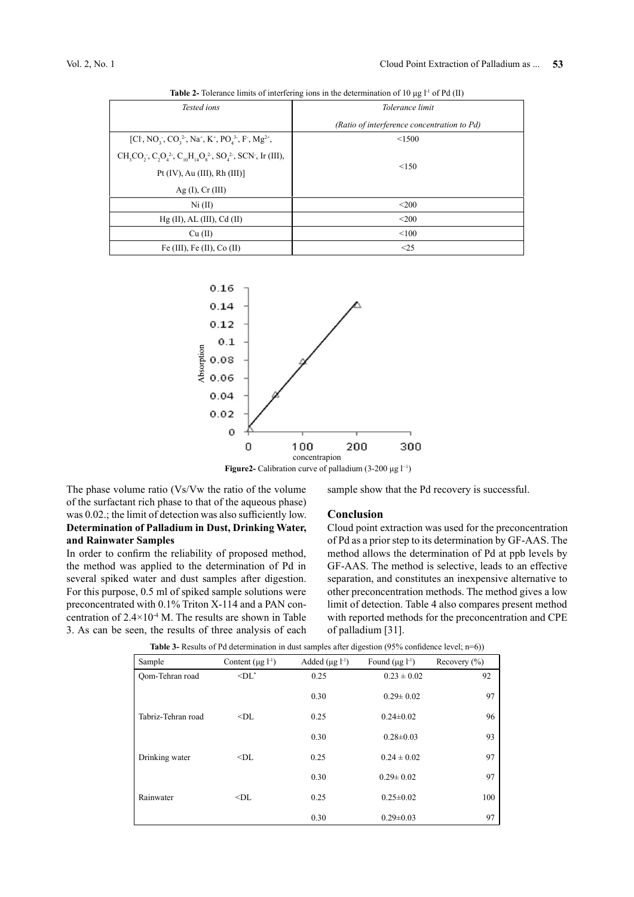| Tested ions                                                                                                                                                 | Tolerance limit                             |  |
|-------------------------------------------------------------------------------------------------------------------------------------------------------------|---------------------------------------------|--|
|                                                                                                                                                             | (Ratio of interference concentration to Pd) |  |
| [Cl, NO <sub>3</sub> , CO <sub>3</sub> <sup>2</sup> , Na <sup>+</sup> , K <sup>+</sup> , PO <sub>4</sub> <sup>3</sup> , F <sup>-</sup> , Mg <sup>2+</sup> , | < 1500                                      |  |
| $CH_3CO_2$ , $C_2O_4^2$ , $C_{10}H_{14}O_8^2$ , $SO_4^2$ , $SCN$ , Ir (III),<br>Pt $(IV)$ , Au $(III)$ , Rh $(III)$ ]                                       | < 150                                       |  |
| Ag $(I)$ , $Cr$ $(III)$                                                                                                                                     |                                             |  |
| Ni (II)                                                                                                                                                     | $\leq 200$                                  |  |
| $Hg (II)$ , AL $(III)$ , Cd $(II)$                                                                                                                          | $<$ 200                                     |  |
| Cu (II)                                                                                                                                                     | < 100                                       |  |
| Fe $(III)$ , Fe $(II)$ , Co $(II)$                                                                                                                          | <25                                         |  |

**Table 2-** Tolerance limits of interfering ions in the determination of 10  $\mu$ g l<sup>-1</sup> of Pd (II)



**Figure2-** Calibration curve of palladium (3-200 μg  $l^{-1}$ )

The phase volume ratio (Vs/Vw the ratio of the volume of the surfactant rich phase to that of the aqueous phase) was 0.02.; the limit of detection was also sufficiently low. **Determination of Palladium in Dust, Drinking Water, and Rainwater Samples**

In order to confirm the reliability of proposed method, the method was applied to the determination of Pd in several spiked water and dust samples after digestion. For this purpose, 0.5 ml of spiked sample solutions were preconcentrated with 0.1% Triton X-114 and a PAN concentration of  $2.4 \times 10^{4}$  M. The results are shown in Table 3. As can be seen, the results of three analysis of each sample show that the Pd recovery is successful.

#### **Conclusion**

Cloud point extraction was used for the preconcentration of Pd as a prior step to its determination by GF-AAS. The method allows the determination of Pd at ppb levels by GF-AAS. The method is selective, leads to an effective separation, and constitutes an inexpensive alternative to other preconcentration methods. The method gives a low limit of detection. Table 4 also compares present method with reported methods for the preconcentration and CPE of palladium [31].

| <b>Table 3-</b> Results of Pd determination in dust samples after digestion $(95\%$ confidence level; $n=6$ ) |
|---------------------------------------------------------------------------------------------------------------|
|                                                                                                               |

|                    |                          |                        |                        | $\cdot$          |
|--------------------|--------------------------|------------------------|------------------------|------------------|
| Sample             | Content $(\mu g l^{-1})$ | Added $(\mu g l^{-1})$ | Found $(\mu g l^{-1})$ | Recovery $(\% )$ |
| Oom-Tehran road    | $\leq$ DL $^*$           | 0.25                   | $0.23 \pm 0.02$        | 92               |
|                    |                          | 0.30                   | $0.29 \pm 0.02$        | 97               |
| Tabriz-Tehran road | $<$ DL                   | 0.25                   | $0.24 \pm 0.02$        | 96               |
|                    |                          | 0.30                   | $0.28 \pm 0.03$        | 93               |
| Drinking water     | $<$ DI.                  | 0.25                   | $0.24 \pm 0.02$        | 97               |
|                    |                          | 0.30                   | $0.29 \pm 0.02$        | 97               |
| Rainwater          | $<$ DL                   | 0.25                   | $0.25 \pm 0.02$        | 100              |
|                    |                          | 0.30                   | $0.29 \pm 0.03$        | 97               |